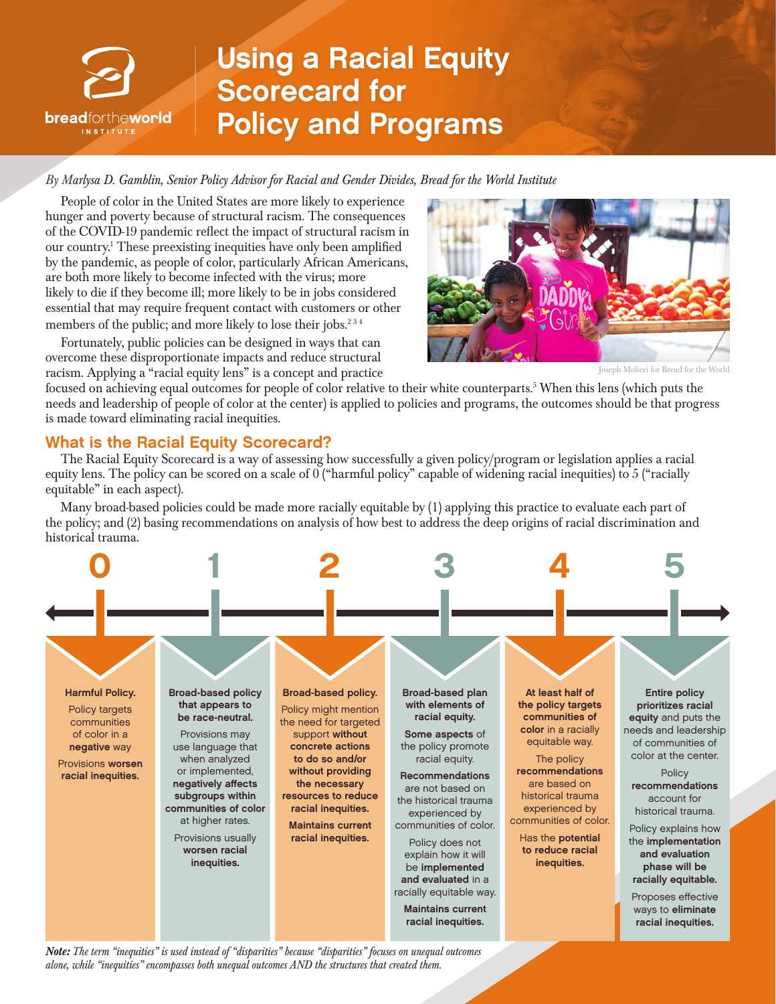

# Using a Racial Equity Scorecard for Policy and Programs

*By Marlysa D. Gamblin, Senior Policy Advisor for Racial and Gender Divides, Bread for the World Institute*

People of color in the United States are more likely to experience hunger and poverty because of structural racism. The consequences of the COVID-19 pandemic reflect the impact of structural racism in our country.<sup>1</sup> These preexisting inequities have only been amplified by the pandemic, as people of color, particularly African Americans, are both more likely to become infected with the virus; more likely to die if they become ill; more likely to be in jobs considered essential that may require frequent contact with customers or other members of the public; and more likely to lose their jobs. $234$ 

Fortunately, public policies can be designed in ways that can overcome these disproportionate impacts and reduce structural racism. Applying a "racial equity lens" is a concept and practice



Joseph Molieri for Bread for the World

focused on achieving equal outcomes for people of color relative to their white counterparts.5 When this lens (which puts the needs and leadership of people of color at the center) is applied to policies and programs, the outcomes should be that progress is made toward eliminating racial inequities.

## What is the Racial Equity Scorecard?

The Racial Equity Scorecard is a way of assessing how successfully a given policy/program or legislation applies a racial equity lens. The policy can be scored on a scale of 0 ("harmful policy" capable of widening racial inequities) to 5 ("racially equitable" in each aspect).

Many broad-based policies could be made more racially equitable by (1) applying this practice to evaluate each part of the policy; and (2) basing recommendations on analysis of how best to address the deep origins of racial discrimination and historical trauma.



*Note: The term "inequities" is used instead of "disparities" because "disparities" focuses on unequal outcomes alone, while "inequities" encompasses both unequal outcomes AND the structures that created them.*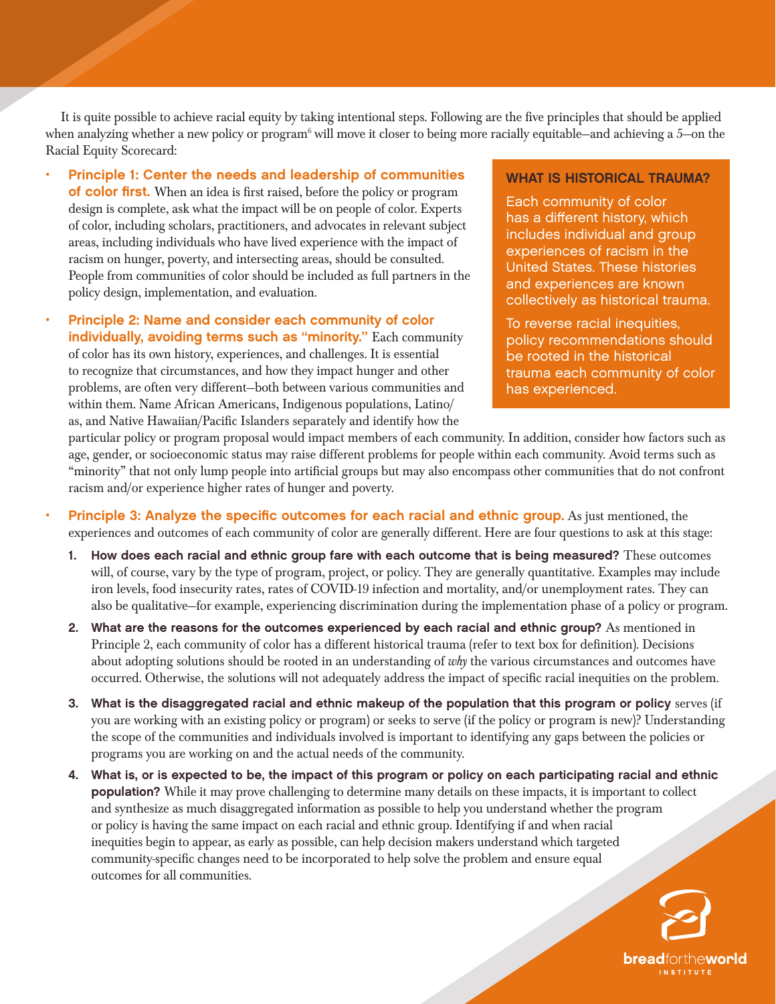It is quite possible to achieve racial equity by taking intentional steps. Following are the five principles that should be applied when analyzing whether a new policy or program<sup>6</sup> will move it closer to being more racially equitable—and achieving a 5—on the Racial Equity Scorecard:

- Principle 1: Center the needs and leadership of communities of color first. When an idea is first raised, before the policy or program design is complete, ask what the impact will be on people of color. Experts of color, including scholars, practitioners, and advocates in relevant subject areas, including individuals who have lived experience with the impact of racism on hunger, poverty, and intersecting areas, should be consulted. People from communities of color should be included as full partners in the policy design, implementation, and evaluation.
- Principle 2: Name and consider each community of color individually, avoiding terms such as "minority." Each community of color has its own history, experiences, and challenges. It is essential to recognize that circumstances, and how they impact hunger and other problems, are often very different—both between various communities and within them. Name African Americans, Indigenous populations, Latino/ as, and Native Hawaiian/Pacific Islanders separately and identify how the

### WHAT IS HISTORICAL TRAUMA?

Each community of color has a different history, which includes individual and group experiences of racism in the United States. These histories and experiences are known collectively as historical trauma.

To reverse racial inequities, policy recommendations should be rooted in the historical trauma each community of color has experienced.

particular policy or program proposal would impact members of each community. In addition, consider how factors such as age, gender, or socioeconomic status may raise different problems for people within each community. Avoid terms such as "minority" that not only lump people into artificial groups but may also encompass other communities that do not confront racism and/or experience higher rates of hunger and poverty.

- Principle 3: Analyze the specific outcomes for each racial and ethnic group. As just mentioned, the experiences and outcomes of each community of color are generally different. Here are four questions to ask at this stage:
	- How does each racial and ethnic group fare with each outcome that is being measured? These outcomes will, of course, vary by the type of program, project, or policy. They are generally quantitative. Examples may include iron levels, food insecurity rates, rates of COVID-19 infection and mortality, and/or unemployment rates. They can also be qualitative—for example, experiencing discrimination during the implementation phase of a policy or program.
	- 2. What are the reasons for the outcomes experienced by each racial and ethnic group? As mentioned in Principle 2, each community of color has a different historical trauma (refer to text box for definition). Decisions about adopting solutions should be rooted in an understanding of *why* the various circumstances and outcomes have occurred. Otherwise, the solutions will not adequately address the impact of specific racial inequities on the problem.
	- 3. What is the disaggregated racial and ethnic makeup of the population that this program or policy serves (if you are working with an existing policy or program) or seeks to serve (if the policy or program is new)? Understanding the scope of the communities and individuals involved is important to identifying any gaps between the policies or programs you are working on and the actual needs of the community.
	- 4. What is, or is expected to be, the impact of this program or policy on each participating racial and ethnic population? While it may prove challenging to determine many details on these impacts, it is important to collect and synthesize as much disaggregated information as possible to help you understand whether the program or policy is having the same impact on each racial and ethnic group. Identifying if and when racial inequities begin to appear, as early as possible, can help decision makers understand which targeted community-specific changes need to be incorporated to help solve the problem and ensure equal outcomes for all communities.